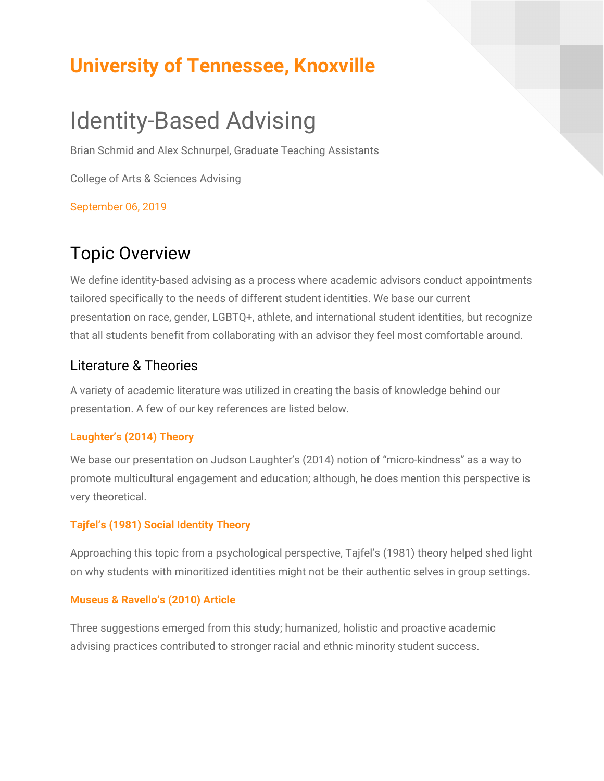## **University of Tennessee, Knoxville**

# Identity-Based Advising

Brian Schmid and Alex Schnurpel, Graduate Teaching Assistants

College of Arts & Sciences Advising

September 06, 2019

### Topic Overview

We define identity-based advising as a process where academic advisors conduct appointments tailored specifically to the needs of different student identities. We base our current presentation on race, gender, LGBTQ+, athlete, and international student identities, but recognize that all students benefit from collaborating with an advisor they feel most comfortable around.

#### Literature & Theories

A variety of academic literature was utilized in creating the basis of knowledge behind our presentation. A few of our key references are listed below.

#### **Laughter's (2014) Theory**

We base our presentation on Judson Laughter's (2014) notion of "micro-kindness" as a way to promote multicultural engagement and education; although, he does mention this perspective is very theoretical.

#### **Tajfel's (1981) Social Identity Theory**

Approaching this topic from a psychological perspective, Tajfel's (1981) theory helped shed light on why students with minoritized identities might not be their authentic selves in group settings.

#### **Museus & Ravello's (2010) Article**

Three suggestions emerged from this study; humanized, holistic and proactive academic advising practices contributed to stronger racial and ethnic minority student success.